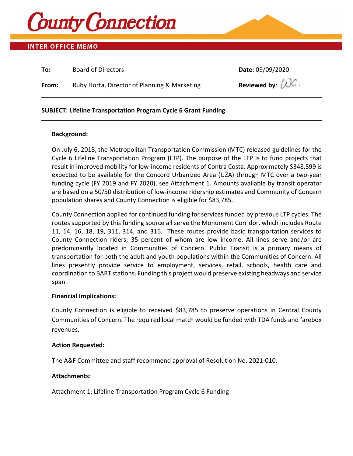

### **INTER OFFICE MEMO**

| To:   | <b>Board of Directors</b>                    | Date: 09/09/2020               |
|-------|----------------------------------------------|--------------------------------|
| From: | Ruby Horta, Director of Planning & Marketing | Reviewed by: $(\mathcal{C})$ . |

### **SUBJECT: Lifeline Transportation Program Cycle 6 Grant Funding**

### **Background:**

On July 6, 2018, the Metropolitan Transportation Commission (MTC) released guidelines for the Cycle 6 Lifeline Transportation Program (LTP). The purpose of the LTP is to fund projects that result in improved mobility for low-income residents of Contra Costa. Approximately \$348,599 is expected to be available for the Concord Urbanized Area (UZA) through MTC over a two-year funding cycle (FY 2019 and FY 2020), see Attachment 1. Amounts available by transit operator are based on a 50/50 distribution of low-income ridership estimates and Community of Concern population shares and County Connection is eligible for \$83,785.

County Connection applied for continued funding for services funded by previous LTP cycles. The routes supported by this funding source all serve the Monument Corridor, which includes Route 11, 14, 16, 18, 19, 311, 314, and 316. These routes provide basic transportation services to County Connection riders; 35 percent of whom are low income. All lines serve and/or are predominantly located in Communities of Concern. Public Transit is a primary means of transportation for both the adult and youth populations within the Communities of Concern. All lines presently provide service to employment, services, retail, schools, health care and coordination to BART stations. Funding this project would preserve existing headways and service span.

### **Financial Implications:**

County Connection is eligible to received \$83,785 to preserve operations in Central County Communities of Concern. The required local match would be funded with TDA funds and farebox revenues.

### **Action Requested:**

The A&F Committee and staff recommend approval of Resolution No. 2021-010.

### **Attachments:**

Attachment 1: Lifeline Transportation Program Cycle 6 Funding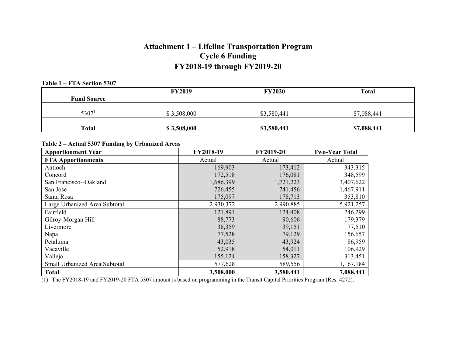# **Attachment 1 – Lifeline Transportation Program Cycle 6 Funding FY2018-19 through FY2019-20**

#### **Table 1 – FTA Section 5307**

|                    | <b>FY2019</b> | <b>FY2020</b> | <b>Total</b> |
|--------------------|---------------|---------------|--------------|
| <b>Fund Source</b> |               |               |              |
|                    |               |               |              |
| 5307 <sup>1</sup>  | \$3,508,000   | \$3,580,441   | \$7,088,441  |
|                    |               |               |              |
| <b>Total</b>       | \$3,508,000   | \$3,580,441   | \$7,088,441  |

### **Table 2 – Actual 5307 Funding by Urbanized Areas**

| <b>Apportionment Year</b>     | FY2018-19 | FY2019-20 | <b>Two-Year Total</b> |  |
|-------------------------------|-----------|-----------|-----------------------|--|
| <b>FTA Apportionments</b>     | Actual    | Actual    | Actual                |  |
| Antioch                       | 169,903   | 173,412   | 343,315               |  |
| Concord                       | 172,518   | 176,081   | 348,599               |  |
| San Francisco--Oakland        | 1,686,399 | 1,721,223 | 3,407,622             |  |
| San Jose                      | 726,455   | 741,456   | 1,467,911             |  |
| Santa Rosa                    | 175,097   | 178,713   | 353,810               |  |
| Large Urbanized Area Subtotal | 2,930,372 | 2,990,885 | 5,921,257             |  |
| Fairfield                     | 121,891   | 124,408   | 246,299               |  |
| Gilroy-Morgan Hill            | 88,773    | 90,606    | 179,379               |  |
| Livermore                     | 38,359    | 39,151    | 77,510                |  |
| Napa                          | 77,528    | 79,129    | 156,657               |  |
| Petaluma                      | 43,035    | 43,924    | 86,959                |  |
| Vacaville                     | 52,918    | 54,011    | 106,929               |  |
| Vallejo                       | 155,124   | 158,327   | 313,451               |  |
| Small Urbanized Area Subtotal | 577,628   | 589,556   | 1,167,184             |  |
| <b>Total</b>                  | 3,508,000 | 3,580,441 | 7,088,441             |  |

(1) The FY2018-19 and FY2019-20 FTA 5307 amount is based on programming in the Transit Capital Priorities Program (Res. 4272).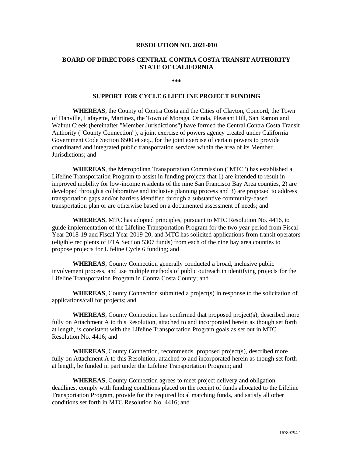#### **RESOLUTION NO. 2021-010**

### **BOARD OF DIRECTORS CENTRAL CONTRA COSTA TRANSIT AUTHORITY STATE OF CALIFORNIA**

**\*\*\***

### **SUPPORT FOR CYCLE 6 LIFELINE PROJECT FUNDING**

**WHEREAS**, the County of Contra Costa and the Cities of Clayton, Concord, the Town of Danville, Lafayette, Martinez, the Town of Moraga, Orinda, Pleasant Hill, San Ramon and Walnut Creek (hereinafter "Member Jurisdictions") have formed the Central Contra Costa Transit Authority ("County Connection"), a joint exercise of powers agency created under California Government Code Section 6500 et seq., for the joint exercise of certain powers to provide coordinated and integrated public transportation services within the area of its Member Jurisdictions; and

**WHEREAS**, the Metropolitan Transportation Commission ("MTC") has established a Lifeline Transportation Program to assist in funding projects that 1) are intended to result in improved mobility for low-income residents of the nine San Francisco Bay Area counties, 2) are developed through a collaborative and inclusive planning process and 3) are proposed to address transportation gaps and/or barriers identified through a substantive community-based transportation plan or are otherwise based on a documented assessment of needs; and

**WHEREAS**, MTC has adopted principles, pursuant to MTC Resolution No. 4416, to guide implementation of the Lifeline Transportation Program for the two year period from Fiscal Year 2018-19 and Fiscal Year 2019-20, and MTC has solicited applications from transit operators (eligible recipients of FTA Section 5307 funds) from each of the nine bay area counties to propose projects for Lifeline Cycle 6 funding; and

**WHEREAS**, County Connection generally conducted a broad, inclusive public involvement process, and use multiple methods of public outreach in identifying projects for the Lifeline Transportation Program in Contra Costa County; and

**WHEREAS**, County Connection submitted a project(s) in response to the solicitation of applications/call for projects; and

**WHEREAS**, County Connection has confirmed that proposed project(s), described more fully on Attachment A to this Resolution, attached to and incorporated herein as though set forth at length, is consistent with the Lifeline Transportation Program goals as set out in MTC Resolution No. 4416; and

**WHEREAS**, County Connection, recommends proposed project(s), described more fully on Attachment A to this Resolution, attached to and incorporated herein as though set forth at length, be funded in part under the Lifeline Transportation Program; and

**WHEREAS**, County Connection agrees to meet project delivery and obligation deadlines, comply with funding conditions placed on the receipt of funds allocated to the Lifeline Transportation Program, provide for the required local matching funds, and satisfy all other conditions set forth in MTC Resolution No. 4416; and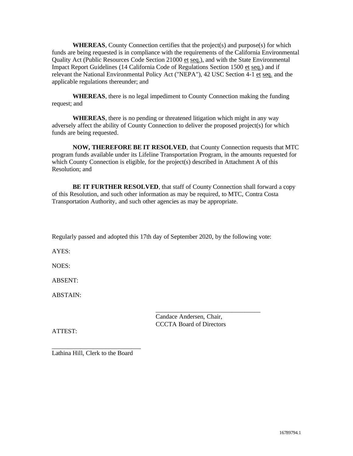**WHEREAS**, County Connection certifies that the project(s) and purpose(s) for which funds are being requested is in compliance with the requirements of the California Environmental Quality Act (Public Resources Code Section 21000 et seq.), and with the State Environmental Impact Report Guidelines (14 California Code of Regulations Section 1500 et seq.) and if relevant the National Environmental Policy Act ("NEPA"), 42 USC Section 4-1 et seq. and the applicable regulations thereunder; and

**WHEREAS**, there is no legal impediment to County Connection making the funding request; and

**WHEREAS**, there is no pending or threatened litigation which might in any way adversely affect the ability of County Connection to deliver the proposed project(s) for which funds are being requested.

**NOW, THEREFORE BE IT RESOLVED**, that County Connection requests that MTC program funds available under its Lifeline Transportation Program, in the amounts requested for which County Connection is eligible, for the project(s) described in Attachment A of this Resolution; and

**BE IT FURTHER RESOLVED**, that staff of County Connection shall forward a copy of this Resolution, and such other information as may be required, to MTC, Contra Costa Transportation Authority, and such other agencies as may be appropriate.

Regularly passed and adopted this 17th day of September 2020, by the following vote:

 $\frac{1}{\sqrt{2}}$  ,  $\frac{1}{\sqrt{2}}$  ,  $\frac{1}{\sqrt{2}}$  ,  $\frac{1}{\sqrt{2}}$  ,  $\frac{1}{\sqrt{2}}$  ,  $\frac{1}{\sqrt{2}}$  ,  $\frac{1}{\sqrt{2}}$  ,  $\frac{1}{\sqrt{2}}$  ,  $\frac{1}{\sqrt{2}}$  ,  $\frac{1}{\sqrt{2}}$  ,  $\frac{1}{\sqrt{2}}$  ,  $\frac{1}{\sqrt{2}}$  ,  $\frac{1}{\sqrt{2}}$  ,  $\frac{1}{\sqrt{2}}$  ,  $\frac{1}{\sqrt{2}}$ 

AYES:

NOES:

ABSENT:

ABSTAIN:

Candace Andersen, Chair, CCCTA Board of Directors

ATTEST:

\_\_\_\_\_\_\_\_\_\_\_\_\_\_\_\_\_\_\_\_\_\_\_\_\_\_\_\_ Lathina Hill, Clerk to the Board